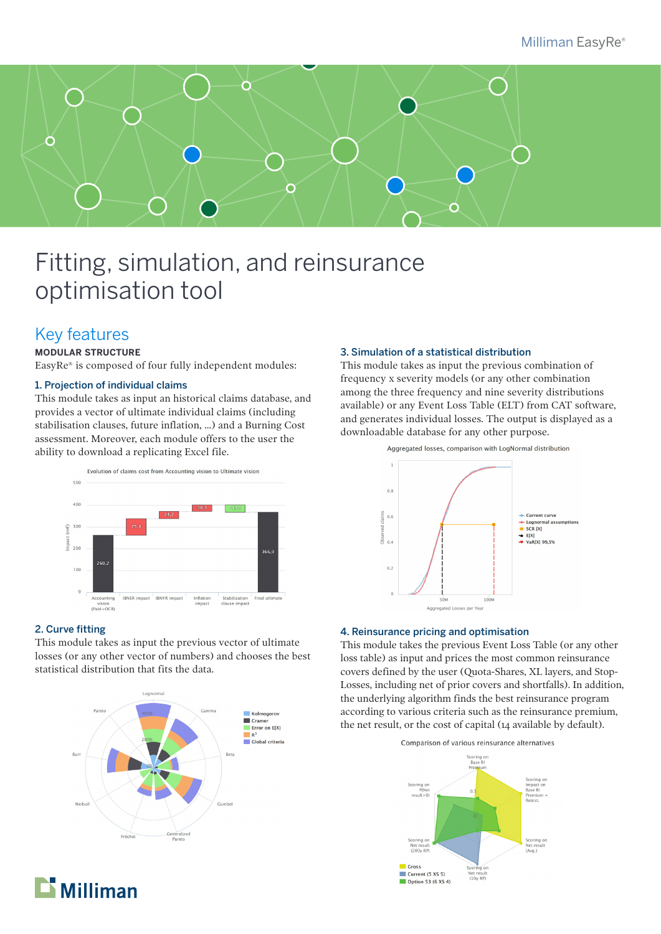

## Fitting, simulation, and reinsurance optimisation tool

## Key features

#### **MODULAR STRUCTURE**

EasyRe® is composed of four fully independent modules:

#### 1. Projection of individual claims

This module takes as input an historical claims database, and provides a vector of ultimate individual claims (including stabilisation clauses, future inflation, ...) and a Burning Cost assessment. Moreover, each module offers to the user the ability to download a replicating Excel file.



#### 2. Curve fitting

This module takes as input the previous vector of ultimate losses (or any other vector of numbers) and chooses the best statistical distribution that fits the data.



#### 3. Simulation of a statistical distribution

This module takes as input the previous combination of frequency x severity models (or any other combination among the three frequency and nine severity distributions available) or any Event Loss Table (ELT) from CAT software, and generates individual losses. The output is displayed as a downloadable database for any other purpose.



#### 4. Reinsurance pricing and optimisation

This module takes the previous Event Loss Table (or any other loss table) as input and prices the most common reinsurance covers defined by the user (Quota-Shares, XL layers, and Stop-Losses, including net of prior covers and shortfalls). In addition, the underlying algorithm finds the best reinsurance program according to various criteria such as the reinsurance premium, the net result, or the cost of capital (14 available by default).